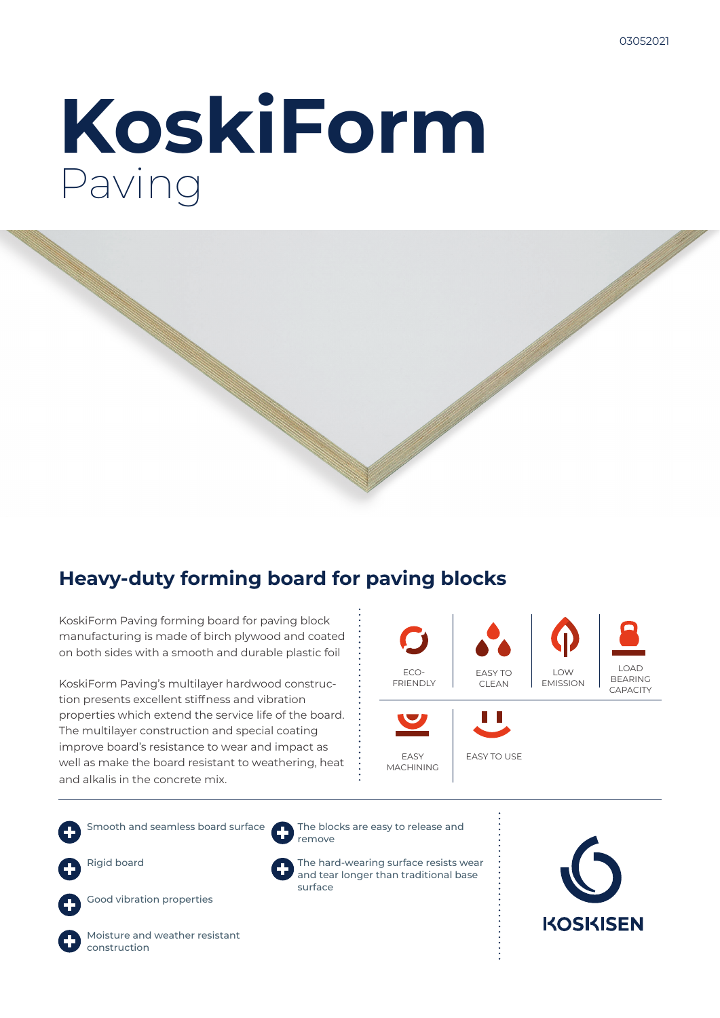# **KoskiForm** Paving



## **Heavy-duty forming board for paving blocks**

KoskiForm Paving forming board for paving block manufacturing is made of birch plywood and coated on both sides with a smooth and durable plastic foil

KoskiForm Paving's multilayer hardwood construction presents excellent stiffness and vibration properties which extend the service life of the board. The multilayer construction and special coating improve board's resistance to wear and impact as well as make the board resistant to weathering, heat and alkalis in the concrete mix.



Smooth and seamless board surface Rigid board



Good vibration properties

Moisture and weather resistant construction

The blocks are easy to release and remove

> The hard-wearing surface resists wear and tear longer than traditional base surface

**KOSKISEN**